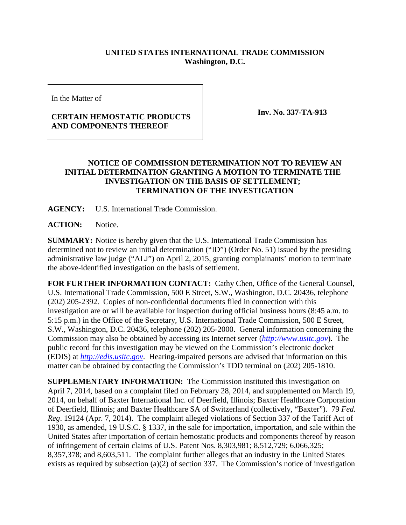## **UNITED STATES INTERNATIONAL TRADE COMMISSION Washington, D.C.**

In the Matter of

## **CERTAIN HEMOSTATIC PRODUCTS AND COMPONENTS THEREOF**

**Inv. No. 337-TA-913**

## **NOTICE OF COMMISSION DETERMINATION NOT TO REVIEW AN INITIAL DETERMINATION GRANTING A MOTION TO TERMINATE THE INVESTIGATION ON THE BASIS OF SETTLEMENT; TERMINATION OF THE INVESTIGATION**

**AGENCY:** U.S. International Trade Commission.

**ACTION:** Notice.

**SUMMARY:** Notice is hereby given that the U.S. International Trade Commission has determined not to review an initial determination ("ID") (Order No. 51) issued by the presiding administrative law judge ("ALJ") on April 2, 2015, granting complainants' motion to terminate the above-identified investigation on the basis of settlement.

**FOR FURTHER INFORMATION CONTACT:** Cathy Chen, Office of the General Counsel, U.S. International Trade Commission, 500 E Street, S.W., Washington, D.C. 20436, telephone (202) 205-2392. Copies of non-confidential documents filed in connection with this investigation are or will be available for inspection during official business hours (8:45 a.m. to 5:15 p.m.) in the Office of the Secretary, U.S. International Trade Commission, 500 E Street, S.W., Washington, D.C. 20436, telephone (202) 205-2000. General information concerning the Commission may also be obtained by accessing its Internet server (*[http://www.usitc.gov](http://www.usitc.gov/)*). The public record for this investigation may be viewed on the Commission's electronic docket (EDIS) at *[http://edis.usitc.gov](http://edis.usitc.gov/)*. Hearing-impaired persons are advised that information on this matter can be obtained by contacting the Commission's TDD terminal on (202) 205-1810.

**SUPPLEMENTARY INFORMATION:** The Commission instituted this investigation on April 7, 2014, based on a complaint filed on February 28, 2014, and supplemented on March 19, 2014, on behalf of Baxter International Inc. of Deerfield, Illinois; Baxter Healthcare Corporation of Deerfield, Illinois; and Baxter Healthcare SA of Switzerland (collectively, "Baxter"). 79 *Fed. Reg*. 19124 (Apr. 7, 2014). The complaint alleged violations of Section 337 of the Tariff Act of 1930, as amended, 19 U.S.C. § 1337, in the sale for importation, importation, and sale within the United States after importation of certain hemostatic products and components thereof by reason of infringement of certain claims of U.S. Patent Nos. 8,303,981; 8,512,729; 6,066,325; 8,357,378; and 8,603,511. The complaint further alleges that an industry in the United States exists as required by subsection (a)(2) of section 337. The Commission's notice of investigation